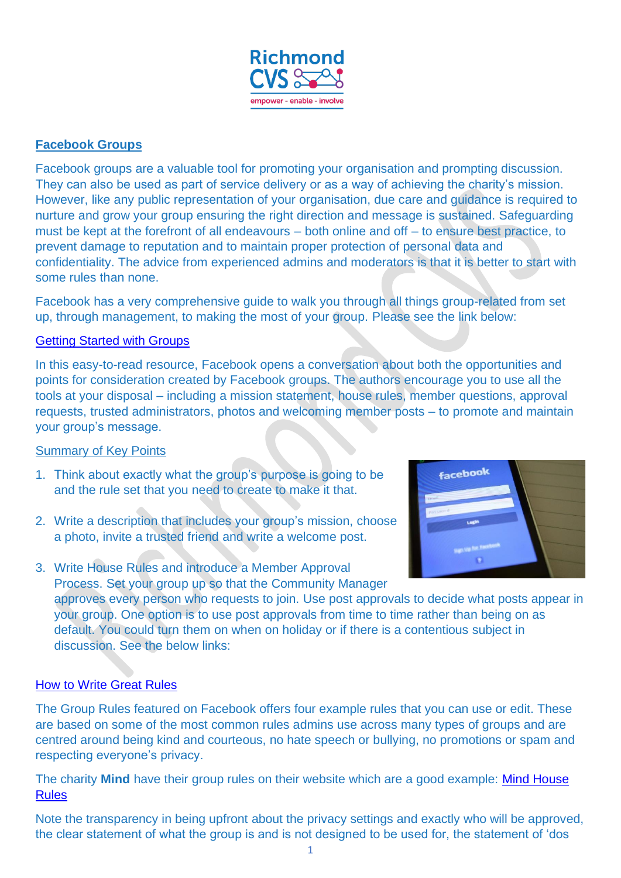

## **Facebook Groups**

Facebook groups are a valuable tool for promoting your organisation and prompting discussion. They can also be used as part of service delivery or as a way of achieving the charity's mission. However, like any public representation of your organisation, due care and guidance is required to nurture and grow your group ensuring the right direction and message is sustained. Safeguarding must be kept at the forefront of all endeavours – both online and off – to ensure best practice, to prevent damage to reputation and to maintain proper protection of personal data and confidentiality. The advice from experienced admins and moderators is that it is better to start with some rules than none.

Facebook has a very comprehensive guide to walk you through all things group-related from set up, through management, to making the most of your group. Please see the link below:

## [Getting Started with Groups](https://www.facebook.com/community/getting-started-with-groups/)

In this easy-to-read resource, Facebook opens a conversation about both the opportunities and points for consideration created by Facebook groups. The authors encourage you to use all the tools at your disposal – including a mission statement, house rules, member questions, approval requests, trusted administrators, photos and welcoming member posts – to promote and maintain your group's message.

## Summary of Key Points

- 1. Think about exactly what the group's purpose is going to be and the rule set that you need to create to make it that.
- 2. Write a description that includes your group's mission, choose a photo, invite a trusted friend and write a welcome post.
- 3. Write House Rules and introduce a Member Approval Process. Set your group up so that the Community Manager



approves every person who requests to join. Use post approvals to decide what posts appear in your group. One option is to use post approvals from time to time rather than being on as default. You could turn them on when on holiday or if there is a contentious subject in discussion. See the below links:

## [How to Write Great Rules](https://www.facebook.com/community/establishing-membership-and-rules/how-to-write-great-group-rules/)

The Group Rules featured on Facebook offers four example rules that you can use or edit. These are based on some of the most common rules admins use across many types of groups and are centred around being kind and courteous, no hate speech or bullying, no promotions or spam and respecting everyone's privacy.

The charity **Mind** have their group rules on their website which are a good example: [Mind House](https://www.mind.org.uk/get-involved/donate-or-fundraise/facebook-group-house-rules/)  [Rules](https://www.mind.org.uk/get-involved/donate-or-fundraise/facebook-group-house-rules/)

Note the transparency in being upfront about the privacy settings and exactly who will be approved, the clear statement of what the group is and is not designed to be used for, the statement of 'dos